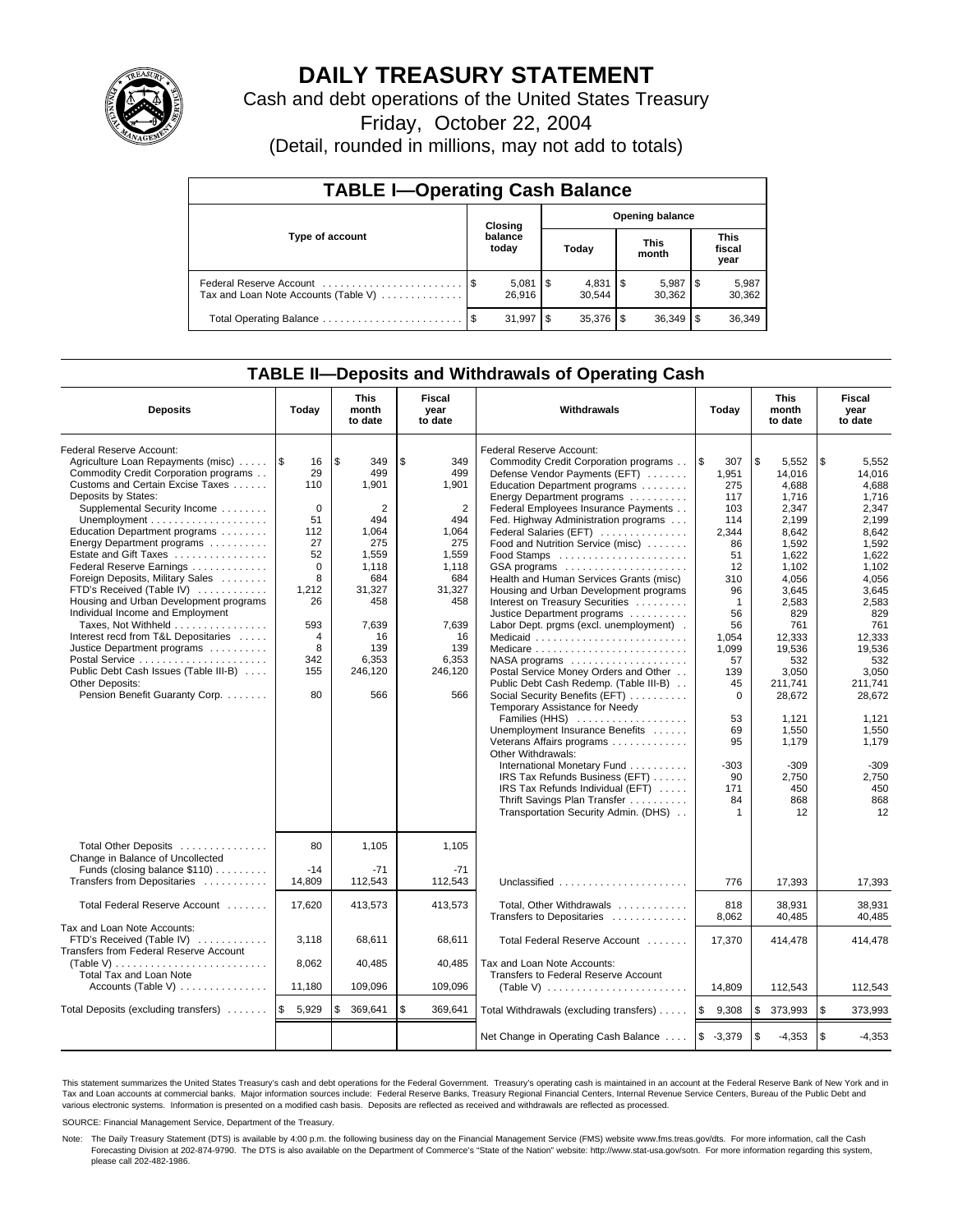

# **DAILY TREASURY STATEMENT**

Cash and debt operations of the United States Treasury

Friday, October 22, 2004

(Detail, rounded in millions, may not add to totals)

| <b>TABLE I-Operating Cash Balance</b>                           |                  |                        |                        |           |  |                      |     |                               |  |  |
|-----------------------------------------------------------------|------------------|------------------------|------------------------|-----------|--|----------------------|-----|-------------------------------|--|--|
|                                                                 |                  | Closing                | <b>Opening balance</b> |           |  |                      |     |                               |  |  |
| Type of account                                                 | balance<br>today |                        |                        | Today     |  | <b>This</b><br>month |     | <b>This</b><br>fiscal<br>year |  |  |
| Federal Reserve Account<br>Tax and Loan Note Accounts (Table V) |                  | $5,081$   \$<br>26.916 |                        | 30.544    |  | 5,987<br>30,362      | 1 S | 5,987<br>30,362               |  |  |
| Total Operating Balance                                         |                  | 31.997                 | S                      | 35.376 \$ |  |                      |     | 36,349                        |  |  |

### **TABLE II—Deposits and Withdrawals of Operating Cash**

| <b>Deposits</b>                                                                                                                                                                                                                                                                                                                                                                                                                                                                                                                                                                                                                                                  | Today                                                                                                                                                   | <b>This</b><br>month<br>to date                                                                                                                    | <b>Fiscal</b><br>year<br>to date                                                                                                                              | <b>Withdrawals</b>                                                                                                                                                                                                                                                                                                                                                                                                                                                                                                                                                                                                                                                                                                                                                                                                                                                                                                                                                                         | Today                                                                                                                                                                                                                        | <b>This</b><br>month<br>to date                                                                                                                                                                                                                                   | Fiscal<br>year<br>to date                                                                                                                                                                                                                                         |
|------------------------------------------------------------------------------------------------------------------------------------------------------------------------------------------------------------------------------------------------------------------------------------------------------------------------------------------------------------------------------------------------------------------------------------------------------------------------------------------------------------------------------------------------------------------------------------------------------------------------------------------------------------------|---------------------------------------------------------------------------------------------------------------------------------------------------------|----------------------------------------------------------------------------------------------------------------------------------------------------|---------------------------------------------------------------------------------------------------------------------------------------------------------------|--------------------------------------------------------------------------------------------------------------------------------------------------------------------------------------------------------------------------------------------------------------------------------------------------------------------------------------------------------------------------------------------------------------------------------------------------------------------------------------------------------------------------------------------------------------------------------------------------------------------------------------------------------------------------------------------------------------------------------------------------------------------------------------------------------------------------------------------------------------------------------------------------------------------------------------------------------------------------------------------|------------------------------------------------------------------------------------------------------------------------------------------------------------------------------------------------------------------------------|-------------------------------------------------------------------------------------------------------------------------------------------------------------------------------------------------------------------------------------------------------------------|-------------------------------------------------------------------------------------------------------------------------------------------------------------------------------------------------------------------------------------------------------------------|
| Federal Reserve Account:<br>Agriculture Loan Repayments (misc)<br>Commodity Credit Corporation programs<br>Customs and Certain Excise Taxes<br>Deposits by States:<br>Supplemental Security Income<br>Education Department programs<br>Energy Department programs<br>Estate and Gift Taxes<br>Federal Reserve Earnings<br>Foreign Deposits, Military Sales<br>FTD's Received (Table IV)<br>Housing and Urban Development programs<br>Individual Income and Employment<br>Taxes, Not Withheld<br>Interest recd from T&L Depositaries<br>Justice Department programs<br>Public Debt Cash Issues (Table III-B)<br>Other Deposits:<br>Pension Benefit Guaranty Corp. | $\sqrt{3}$<br>16<br>29<br>110<br>$\mathbf 0$<br>51<br>112<br>27<br>52<br>$\Omega$<br>8<br>1,212<br>26<br>593<br>$\overline{4}$<br>8<br>342<br>155<br>80 | l \$<br>349<br>499<br>1,901<br>2<br>494<br>1,064<br>275<br>1.559<br>1.118<br>684<br>31,327<br>458<br>7,639<br>16<br>139<br>6,353<br>246,120<br>566 | \$<br>349<br>499<br>1.901<br>$\overline{2}$<br>494<br>1,064<br>275<br>1.559<br>1,118<br>684<br>31,327<br>458<br>7,639<br>16<br>139<br>6,353<br>246,120<br>566 | Federal Reserve Account:<br>Commodity Credit Corporation programs<br>Defense Vendor Payments (EFT)<br>Education Department programs<br>Energy Department programs<br>Federal Employees Insurance Payments<br>Fed. Highway Administration programs<br>Federal Salaries (EFT)<br>Food and Nutrition Service (misc)<br>GSA programs<br>Health and Human Services Grants (misc)<br>Housing and Urban Development programs<br>Interest on Treasury Securities<br>Justice Department programs<br>Labor Dept. prgms (excl. unemployment).<br>Medicare<br>Postal Service Money Orders and Other<br>Public Debt Cash Redemp. (Table III-B)<br>Social Security Benefits (EFT)<br>Temporary Assistance for Needy<br>Families (HHS)<br>Unemployment Insurance Benefits<br>Veterans Affairs programs<br>Other Withdrawals:<br>International Monetary Fund<br>IRS Tax Refunds Business (EFT)<br>IRS Tax Refunds Individual (EFT)<br>Thrift Savings Plan Transfer<br>Transportation Security Admin. (DHS) | l \$<br>307<br>1,951<br>275<br>117<br>103<br>114<br>2,344<br>86<br>51<br>12<br>310<br>96<br>$\mathbf{1}$<br>56<br>56<br>1,054<br>1,099<br>57<br>139<br>45<br>$\mathbf 0$<br>53<br>69<br>95<br>$-303$<br>90<br>171<br>84<br>1 | \$<br>5,552<br>14.016<br>4.688<br>1,716<br>2,347<br>2,199<br>8,642<br>1,592<br>1.622<br>1,102<br>4,056<br>3.645<br>2,583<br>829<br>761<br>12.333<br>19,536<br>532<br>3.050<br>211,741<br>28,672<br>1.121<br>1,550<br>1,179<br>$-309$<br>2,750<br>450<br>868<br>12 | \$<br>5,552<br>14.016<br>4.688<br>1.716<br>2,347<br>2,199<br>8,642<br>1,592<br>1.622<br>1,102<br>4,056<br>3,645<br>2,583<br>829<br>761<br>12.333<br>19,536<br>532<br>3.050<br>211,741<br>28,672<br>1.121<br>1,550<br>1,179<br>$-309$<br>2,750<br>450<br>868<br>12 |
| Total Other Deposits<br>Change in Balance of Uncollected<br>Funds (closing balance \$110)<br>Transfers from Depositaries                                                                                                                                                                                                                                                                                                                                                                                                                                                                                                                                         | 80<br>$-14$<br>14.809                                                                                                                                   | 1,105<br>$-71$<br>112,543                                                                                                                          | 1,105<br>$-71$<br>112.543                                                                                                                                     | Unclassified                                                                                                                                                                                                                                                                                                                                                                                                                                                                                                                                                                                                                                                                                                                                                                                                                                                                                                                                                                               | 776                                                                                                                                                                                                                          | 17.393                                                                                                                                                                                                                                                            | 17,393                                                                                                                                                                                                                                                            |
| Total Federal Reserve Account                                                                                                                                                                                                                                                                                                                                                                                                                                                                                                                                                                                                                                    | 17,620                                                                                                                                                  | 413,573                                                                                                                                            | 413,573                                                                                                                                                       | Total, Other Withdrawals                                                                                                                                                                                                                                                                                                                                                                                                                                                                                                                                                                                                                                                                                                                                                                                                                                                                                                                                                                   | 818                                                                                                                                                                                                                          | 38,931                                                                                                                                                                                                                                                            | 38,931                                                                                                                                                                                                                                                            |
| Tax and Loan Note Accounts:<br>FTD's Received (Table IV)<br>Transfers from Federal Reserve Account<br>(Table V)<br><b>Total Tax and Loan Note</b>                                                                                                                                                                                                                                                                                                                                                                                                                                                                                                                | 3,118<br>8,062                                                                                                                                          | 68,611<br>40,485                                                                                                                                   | 68,611<br>40,485                                                                                                                                              | Transfers to Depositaries<br>Total Federal Reserve Account<br>Tax and Loan Note Accounts:<br>Transfers to Federal Reserve Account                                                                                                                                                                                                                                                                                                                                                                                                                                                                                                                                                                                                                                                                                                                                                                                                                                                          | 8,062<br>17,370                                                                                                                                                                                                              | 40,485<br>414,478                                                                                                                                                                                                                                                 | 40.485<br>414,478                                                                                                                                                                                                                                                 |
| Accounts (Table V)                                                                                                                                                                                                                                                                                                                                                                                                                                                                                                                                                                                                                                               | 11,180                                                                                                                                                  | 109,096                                                                                                                                            | 109,096                                                                                                                                                       | (Table V) $\ldots \ldots \ldots \ldots \ldots \ldots \ldots$                                                                                                                                                                                                                                                                                                                                                                                                                                                                                                                                                                                                                                                                                                                                                                                                                                                                                                                               | 14,809                                                                                                                                                                                                                       | 112,543                                                                                                                                                                                                                                                           | 112,543                                                                                                                                                                                                                                                           |
| Total Deposits (excluding transfers)                                                                                                                                                                                                                                                                                                                                                                                                                                                                                                                                                                                                                             | 5,929<br>1\$                                                                                                                                            | 369,641<br>\$                                                                                                                                      | \$<br>369,641                                                                                                                                                 | Total Withdrawals (excluding transfers)                                                                                                                                                                                                                                                                                                                                                                                                                                                                                                                                                                                                                                                                                                                                                                                                                                                                                                                                                    | <b>S</b><br>9,308                                                                                                                                                                                                            | \$<br>373,993                                                                                                                                                                                                                                                     | <b>S</b><br>373,993                                                                                                                                                                                                                                               |
|                                                                                                                                                                                                                                                                                                                                                                                                                                                                                                                                                                                                                                                                  |                                                                                                                                                         |                                                                                                                                                    |                                                                                                                                                               | Net Change in Operating Cash Balance                                                                                                                                                                                                                                                                                                                                                                                                                                                                                                                                                                                                                                                                                                                                                                                                                                                                                                                                                       | $$ -3,379$                                                                                                                                                                                                                   | \$<br>$-4,353$                                                                                                                                                                                                                                                    | $\sqrt{3}$<br>$-4,353$                                                                                                                                                                                                                                            |

This statement summarizes the United States Treasury's cash and debt operations for the Federal Government. Treasury's operating cash is maintained in an account at the Federal Reserve Bank of New York and in Tax and Loan accounts at commercial banks. Major information sources include: Federal Reserve Banks, Treasury Regional Financial Centers, Internal Revenue Service Centers, Bureau of the Public Debt and<br>various electronic s

SOURCE: Financial Management Service, Department of the Treasury.

Note: The Daily Treasury Statement (DTS) is available by 4:00 p.m. the following business day on the Financial Management Service (FMS) website www.fms.treas.gov/dts. For more information, call the Cash Forecasting Division at 202-874-9790. The DTS is also available on the Department of Commerce's "State of the Nation" website: http://www.stat-usa.gov/sotn. For more information regarding this system, please call 202-482-1986.